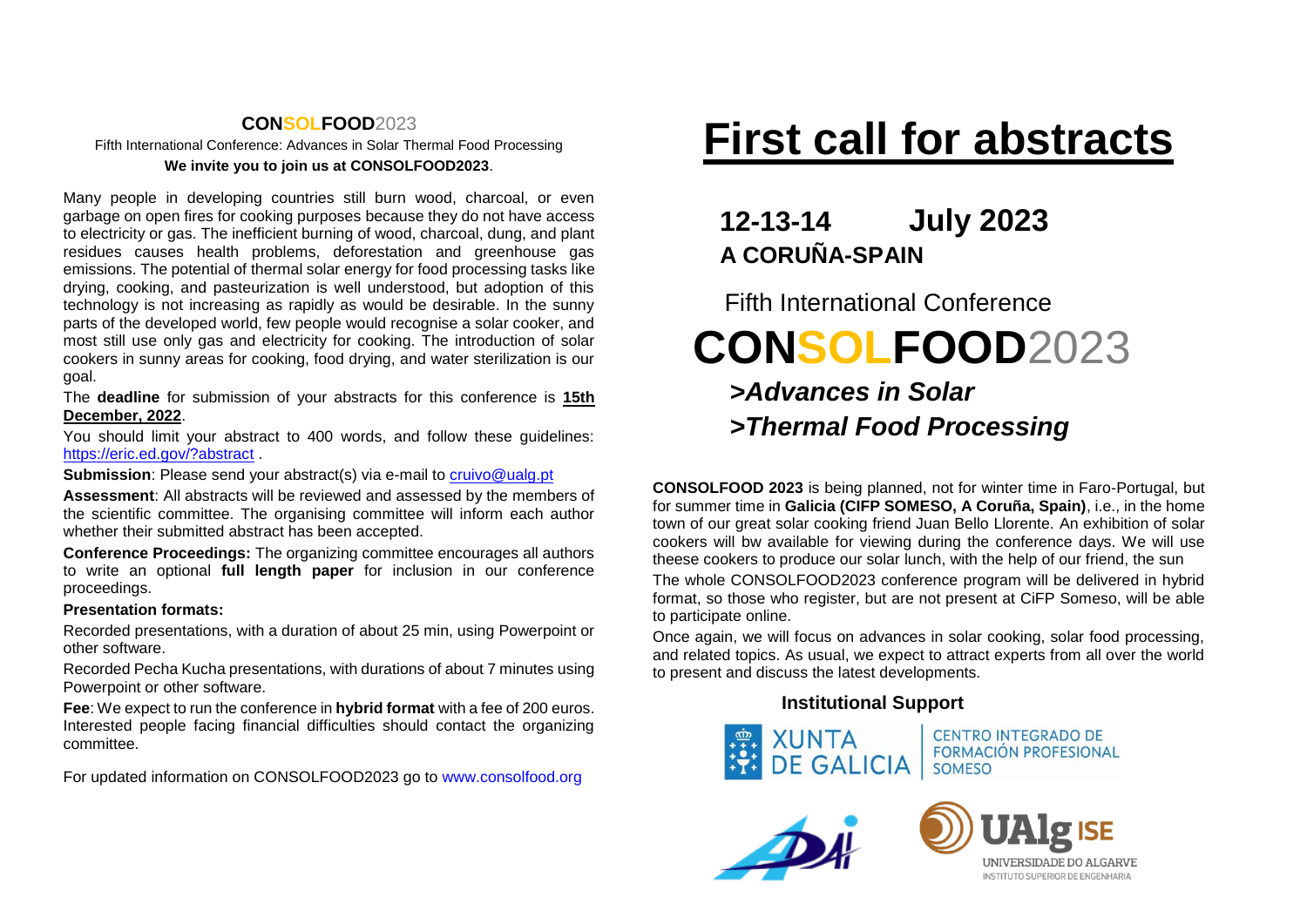# **CONSOLFOOD**2023 Fifth International Conference: Advances in Solar Thermal Food Processing **We invite you to join us at CONSOLFOOD2023**.

Many people in developing countries still burn wood, charcoal, or even garbage on open fires for cooking purposes because they do not have access to electricity or gas. The inefficient burning of wood, charcoal, dung, and plant residues causes health problems, deforestation and greenhouse gas emissions. The potential of thermal solar energy for food processing tasks like drying, cooking, and pasteurization is well understood, but adoption of this technology is not increasing as rapidly as would be desirable. In the sunny parts of the developed world, few people would recognise a solar cooker, and most still use only gas and electricity for cooking. The introduction of solar cookers in sunny areas for cooking, food drying, and water sterilization is our goal.

The **deadline** for submission of your abstracts for this conference is **15th December, 2022**.

You should limit your abstract to 400 words, and follow these guidelines: <https://eric.ed.gov/?abstract>

**Submission:** Please send your abstract(s) via e-mail to [cruivo@ualg.pt](mailto:cruivo@ualg.pt)

**Assessment**: All abstracts will be reviewed and assessed by the members of the scientific committee. The organising committee will inform each author whether their submitted abstract has been accepted.

**Conference Proceedings:** The organizing committee encourages all authors to write an optional **full length paper** for inclusion in our conference proceedings.

#### **Presentation formats:**

Recorded presentations, with a duration of about 25 min, using Powerpoint or other software.

Recorded Pecha Kucha presentations, with durations of about 7 minutes using Powerpoint or other software.

**Fee**: We expect to run the conference in **hybrid format** with a fee of 200 euros. Interested people facing financial difficulties should contact the organizing committee.

For updated information on CONSOLFOOD2023 go to [www.consolfood.org](http://www.consolfood.org/)

# **First call for abstracts**

# **12-13-14 July 2023 A CORUÑA-SPAIN**

 Fifth International Conference  **CONSOLFOOD**2023  *>Advances in Solar >Thermal Food Processing*

**CONSOLFOOD 2023** is being planned, not for winter time in Faro-Portugal, but for summer time in **Galicia (CIFP SOMESO, A Coruña, Spain)**, i.e., in the home town of our great solar cooking friend Juan Bello Llorente. An exhibition of solar cookers will bw available for viewing during the conference days. We will use theese cookers to produce our solar lunch, with the help of our friend, the sun The whole CONSOLFOOD2023 conference program will be delivered in hybrid format, so those who register, but are not present at CiFP Someso, will be able to participate online.

Once again, we will focus on advances in solar cooking, solar food processing, and related topics. As usual, we expect to attract experts from all over the world to present and discuss the latest developments.

# **Institutional Support**